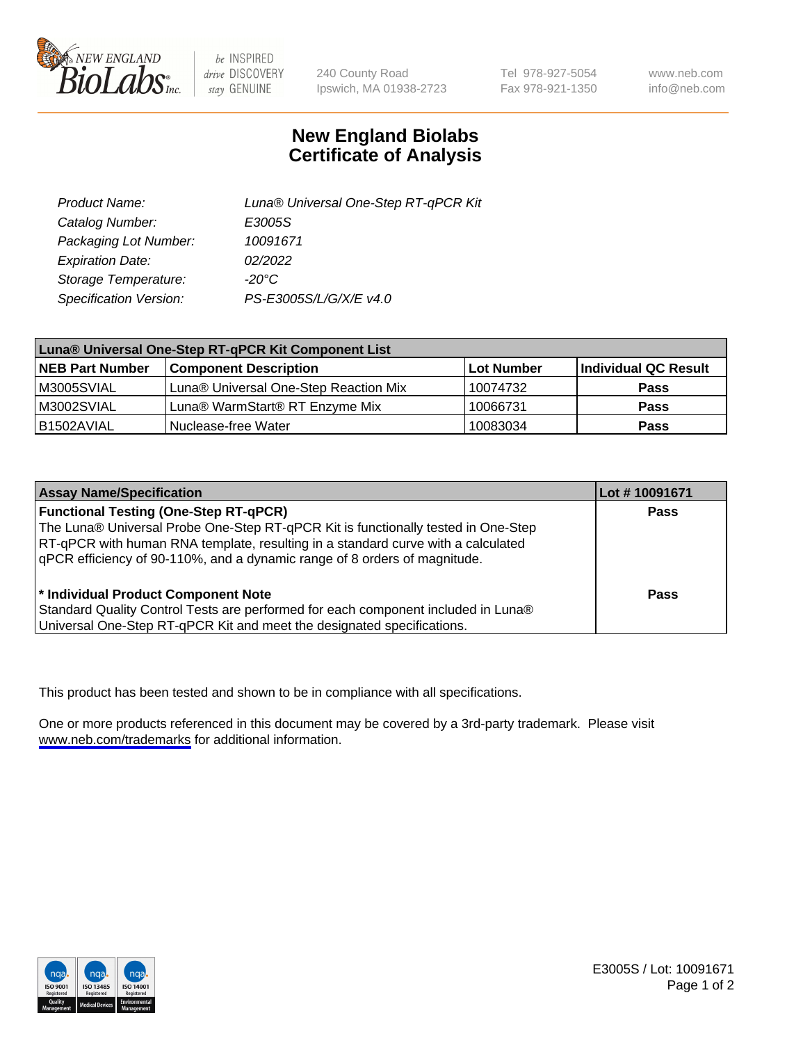

be INSPIRED drive DISCOVERY stay GENUINE

240 County Road Ipswich, MA 01938-2723 Tel 978-927-5054 Fax 978-921-1350

www.neb.com info@neb.com

## **New England Biolabs Certificate of Analysis**

| Product Name:           | Luna® Universal One-Step RT-qPCR Kit |
|-------------------------|--------------------------------------|
| Catalog Number:         | E3005S                               |
| Packaging Lot Number:   | 10091671                             |
| <b>Expiration Date:</b> | 02/2022                              |
| Storage Temperature:    | $-20^{\circ}$ C                      |
| Specification Version:  | PS-E3005S/L/G/X/E v4.0               |

| Luna® Universal One-Step RT-qPCR Kit Component List |                                       |            |                      |  |
|-----------------------------------------------------|---------------------------------------|------------|----------------------|--|
| <b>NEB Part Number</b>                              | <b>Component Description</b>          | Lot Number | Individual QC Result |  |
| M3005SVIAL                                          | Luna® Universal One-Step Reaction Mix | 10074732   | Pass                 |  |
| M3002SVIAL                                          | Luna® WarmStart® RT Enzyme Mix        | 10066731   | <b>Pass</b>          |  |
| B1502AVIAL                                          | Nuclease-free Water                   | 10083034   | <b>Pass</b>          |  |

| <b>Assay Name/Specification</b>                                                   | Lot # 10091671 |
|-----------------------------------------------------------------------------------|----------------|
| <b>Functional Testing (One-Step RT-qPCR)</b>                                      | <b>Pass</b>    |
| The Luna® Universal Probe One-Step RT-qPCR Kit is functionally tested in One-Step |                |
| RT-qPCR with human RNA template, resulting in a standard curve with a calculated  |                |
| qPCR efficiency of 90-110%, and a dynamic range of 8 orders of magnitude.         |                |
| <sup>*</sup> Individual Product Component Note                                    | Pass           |
| Standard Quality Control Tests are performed for each component included in Luna® |                |
| Universal One-Step RT-qPCR Kit and meet the designated specifications.            |                |

This product has been tested and shown to be in compliance with all specifications.

One or more products referenced in this document may be covered by a 3rd-party trademark. Please visit <www.neb.com/trademarks>for additional information.